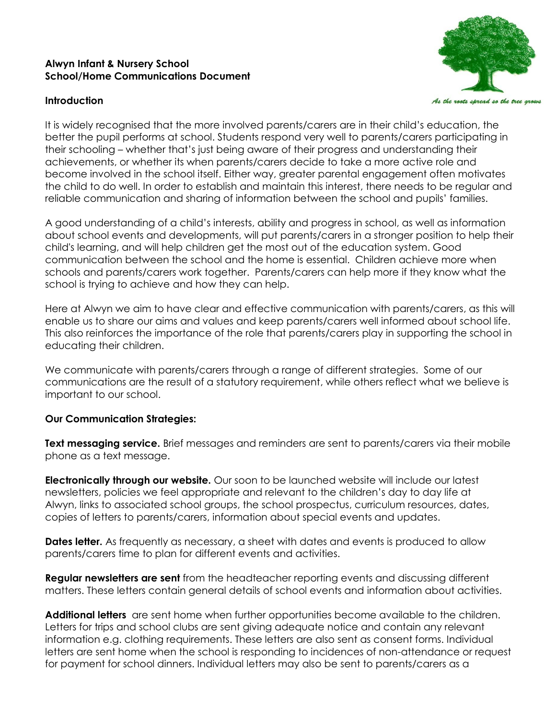## **Alwyn Infant & Nursery School School/Home Communications Document**

## **Introduction**



It is widely recognised that the more involved parents/carers are in their child's education, the better the pupil performs at school. Students respond very well to parents/carers participating in their schooling – whether that's just being aware of their progress and understanding their achievements, or whether its when parents/carers decide to take a more active role and become involved in the school itself. Either way, greater parental engagement often motivates the child to do well. In order to establish and maintain this interest, there needs to be regular and reliable communication and sharing of information between the school and pupils' families.

A good understanding of a child's interests, ability and progress in school, as well as information about school events and developments, will put parents/carers in a stronger position to help their child's learning, and will help children get the most out of the education system. Good communication between the school and the home is essential. Children achieve more when schools and parents/carers work together. Parents/carers can help more if they know what the school is trying to achieve and how they can help.

Here at Alwyn we aim to have clear and effective communication with parents/carers, as this will enable us to share our aims and values and keep parents/carers well informed about school life. This also reinforces the importance of the role that parents/carers play in supporting the school in educating their children.

We communicate with parents/carers through a range of different strategies. Some of our communications are the result of a statutory requirement, while others reflect what we believe is important to our school.

## **Our Communication Strategies:**

**Text messaging service.** Brief messages and reminders are sent to parents/carers via their mobile phone as a text message.

**Electronically through our website.** Our soon to be launched website will include our latest newsletters, policies we feel appropriate and relevant to the children's day to day life at Alwyn, links to associated school groups, the school prospectus, curriculum resources, dates, copies of letters to parents/carers, information about special events and updates.

**Dates letter.** As frequently as necessary, a sheet with dates and events is produced to allow parents/carers time to plan for different events and activities.

**Regular newsletters are sent** from the headteacher reporting events and discussing different matters. These letters contain general details of school events and information about activities.

**Additional letters** are sent home when further opportunities become available to the children. Letters for trips and school clubs are sent giving adequate notice and contain any relevant information e.g. clothing requirements. These letters are also sent as consent forms. Individual letters are sent home when the school is responding to incidences of non-attendance or request for payment for school dinners. Individual letters may also be sent to parents/carers as a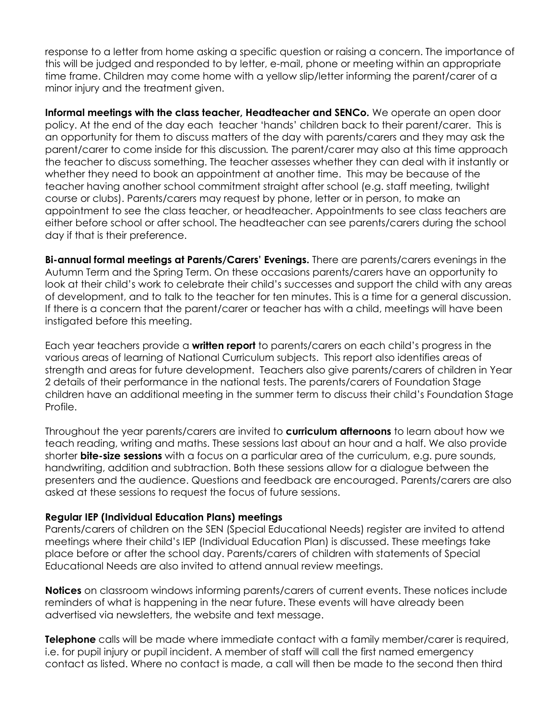response to a letter from home asking a specific question or raising a concern. The importance of this will be judged and responded to by letter, e-mail, phone or meeting within an appropriate time frame. Children may come home with a yellow slip/letter informing the parent/carer of a minor injury and the treatment given.

**Informal meetings with the class teacher, Headteacher and SENCo.** We operate an open door policy. At the end of the day each teacher 'hands' children back to their parent/carer. This is an opportunity for them to discuss matters of the day with parents/carers and they may ask the parent/carer to come inside for this discussion*.* The parent/carer may also at this time approach the teacher to discuss something. The teacher assesses whether they can deal with it instantly or whether they need to book an appointment at another time. This may be because of the teacher having another school commitment straight after school (e.g. staff meeting, twilight course or clubs). Parents/carers may request by phone, letter or in person, to make an appointment to see the class teacher, or headteacher. Appointments to see class teachers are either before school or after school. The headteacher can see parents/carers during the school day if that is their preference.

**Bi-annual formal meetings at Parents/Carers' Evenings.** There are parents/carers evenings in the Autumn Term and the Spring Term. On these occasions parents/carers have an opportunity to look at their child's work to celebrate their child's successes and support the child with any areas of development, and to talk to the teacher for ten minutes. This is a time for a general discussion. If there is a concern that the parent/carer or teacher has with a child, meetings will have been instigated before this meeting.

Each year teachers provide a **written report** to parents/carers on each child's progress in the various areas of learning of National Curriculum subjects. This report also identifies areas of strength and areas for future development. Teachers also give parents/carers of children in Year 2 details of their performance in the national tests. The parents/carers of Foundation Stage children have an additional meeting in the summer term to discuss their child's Foundation Stage Profile.

Throughout the year parents/carers are invited to **curriculum afternoons** to learn about how we teach reading, writing and maths. These sessions last about an hour and a half. We also provide shorter **bite-size sessions** with a focus on a particular area of the curriculum, e.g. pure sounds, handwriting, addition and subtraction. Both these sessions allow for a dialogue between the presenters and the audience. Questions and feedback are encouraged. Parents/carers are also asked at these sessions to request the focus of future sessions.

## **Regular IEP (Individual Education Plans) meetings**

Parents/carers of children on the SEN (Special Educational Needs) register are invited to attend meetings where their child's IEP (Individual Education Plan) is discussed. These meetings take place before or after the school day. Parents/carers of children with statements of Special Educational Needs are also invited to attend annual review meetings.

**Notices** on classroom windows informing parents/carers of current events. These notices include reminders of what is happening in the near future. These events will have already been advertised via newsletters, the website and text message.

**Telephone** calls will be made where immediate contact with a family member/carer is required, i.e. for pupil injury or pupil incident. A member of staff will call the first named emergency contact as listed. Where no contact is made, a call will then be made to the second then third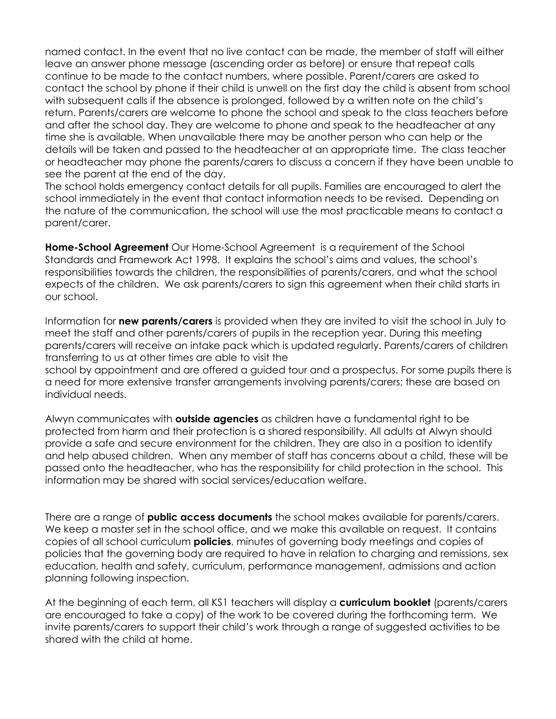named contact. In the event that no live contact can be made, the member of staff will either leave an answer phone message (ascending order as before) or ensure that repeat calls continue to be made to the contact numbers, where possible. Parent/carers are asked to contact the school by phone if their child is unwell on the first day the child is absent from school with subsequent calls if the absence is prolonged, followed by a written note on the child's return. Parents/carers are welcome to phone the school and speak to the class teachers before and after the school day. They are welcome to phone and speak to the headteacher at any time she is available. When unavailable there may be another person who can help or the details will be taken and passed to the headteacher at an appropriate time. The class teacher or headteacher may phone the parents/carers to discuss a concern if they have been unable to see the parent at the end of the day.

The school holds emergency contact details for all pupils. Families are encouraged to alert the school immediately in the event that contact information needs to be revised. Depending on the nature of the communication, the school will use the most practicable means to contact a parent/carer.

**Home-School Agreement** Our Home-School Agreement is a requirement of the School Standards and Framework Act 1998. It explains the school's aims and values, the school's responsibilities towards the children, the responsibilities of parents/carers, and what the school expects of the children. We ask parents/carers to sign this agreement when their child starts in our school.

Information for **new parents/carers** is provided when they are invited to visit the school in July to meet the staff and other parents/carers of pupils in the reception year. During this meeting parents/carers will receive an intake pack which is updated regularly. Parents/carers of children transferring to us at other times are able to visit the

school by appointment and are offered a guided tour and a prospectus. For some pupils there is a need for more extensive transfer arrangements involving parents/carers; these are based on individual needs.

Alwyn communicates with **outside agencies** as children have a fundamental right to be protected from harm and their protection is a shared responsibility. All adults at Alwyn should provide a safe and secure environment for the children. They are also in a position to identify and help abused children. When any member of staff has concerns about a child, these will be passed onto the headteacher, who has the responsibility for child protection in the school. This information may be shared with social services/education welfare.

There are a range of **public access documents** the school makes available for parents/carers. We keep a master set in the school office, and we make this available on request. It contains copies of all school curriculum **policies**, minutes of governing body meetings and copies of policies that the governing body are required to have in relation to charging and remissions, sex education, health and safety, curriculum, performance management, admissions and action planning following inspection.

At the beginning of each term, all KS1 teachers will display a **curriculum booklet** (parents/carers are encouraged to take a copy) of the work to be covered during the forthcoming term. We invite parents/carers to support their child's work through a range of suggested activities to be shared with the child at home.